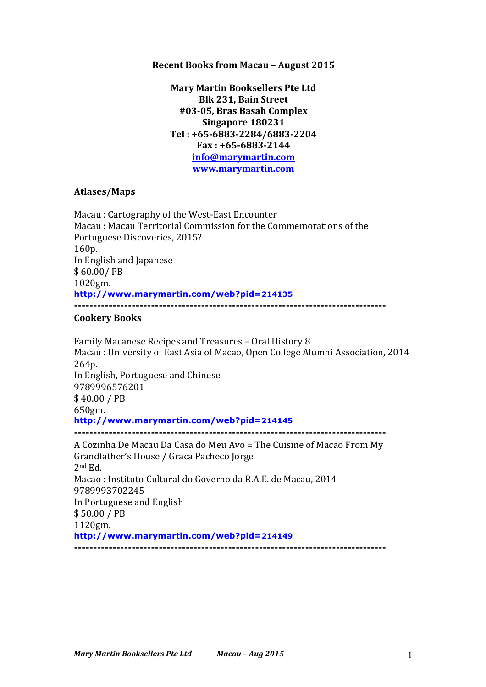# **Recent Books from Macau - August 2015**

**Mary Martin Booksellers Pte Ltd Blk 231, Bain Street #03-05, Bras Basah Complex Singapore 180231 Tel : +65-6883-2284/6883-2204 Fax : +65-6883-2144 info@marymartin.com www.marymartin.com**

# **Atlases/Maps**

Macau: Cartography of the West-East Encounter Macau: Macau Territorial Commission for the Commemorations of the Portuguese Discoveries, 2015? 160p. In English and Japanese \$ 60.00/ PB 1020gm. **http://www.marymartin.com/web?pid=214135 ---------------------------------------------------------------------------------**

## **Cookery Books**

Family Macanese Recipes and Treasures - Oral History 8 Macau : University of East Asia of Macao, Open College Alumni Association, 2014 264p. In English, Portuguese and Chinese 9789996576201 \$ 40.00 / PB 650gm. **http://www.marymartin.com/web?pid=214145 ---------------------------------------------------------------------------------** A Cozinha De Macau Da Casa do Meu Avo = The Cuisine of Macao From My Grandfather's House / Graca Pacheco Jorge 2nd Ed. Macao : Instituto Cultural do Governo da R.A.E. de Macau, 2014 9789993702245 In Portuguese and English \$ 50.00 / PB 1120gm. **http://www.marymartin.com/web?pid=214149 ---------------------------------------------------------------------------------**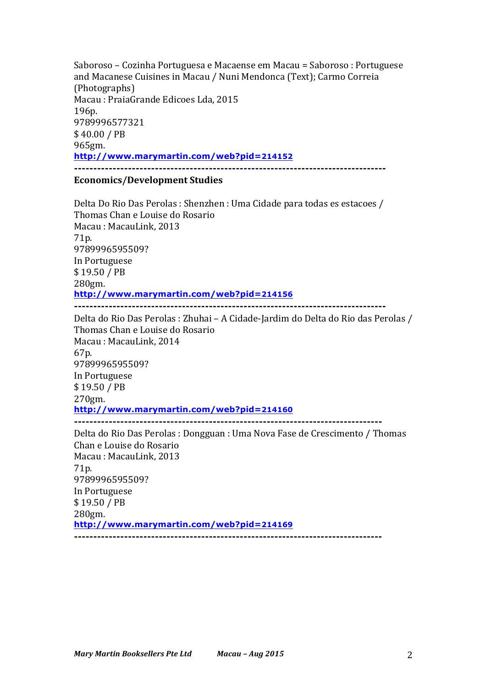Saboroso – Cozinha Portuguesa e Macaense em Macau = Saboroso : Portuguese and Macanese Cuisines in Macau / Nuni Mendonca (Text); Carmo Correia (Photographs) Macau : PraiaGrande Edicoes Lda, 2015 196p. 9789996577321 \$ 40.00 / PB 965gm. **http://www.marymartin.com/web?pid=214152 ---------------------------------------------------------------------------------**

#### **Economics/Development Studies**

Delta Do Rio Das Perolas : Shenzhen : Uma Cidade para todas es estacoes / Thomas Chan e Louise do Rosario Macau: MacauLink, 2013 71p. 9789996595509? In Portuguese \$ 19.50 / PB 280gm. **http://www.marymartin.com/web?pid=214156 ---------------------------------------------------------------------------------**

Delta do Rio Das Perolas : Zhuhai – A Cidade-Jardim do Delta do Rio das Perolas / Thomas Chan e Louise do Rosario Macau: MacauLink, 2014 67p. 9789996595509? In Portuguese \$ 19.50 / PB 270gm. **http://www.marymartin.com/web?pid=214160 --------------------------------------------------------------------------------** Delta do Rio Das Perolas : Dongguan : Uma Nova Fase de Crescimento / Thomas Chan e Louise do Rosario Macau: MacauLink, 2013 71p.

9789996595509? In Portuguese \$ 19.50 / PB 280gm. **http://www.marymartin.com/web?pid=214169**

**--------------------------------------------------------------------------------**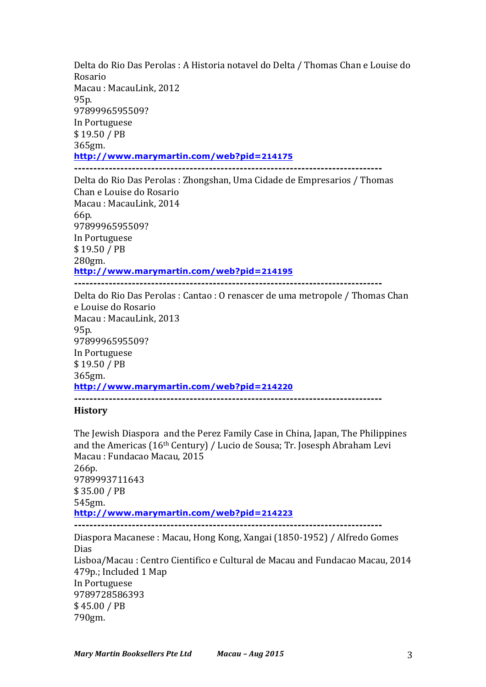Delta do Rio Das Perolas : A Historia notavel do Delta / Thomas Chan e Louise do Rosario Macau: MacauLink, 2012 95p. 9789996595509? In Portuguese \$ 19.50 / PB 365gm. **http://www.marymartin.com/web?pid=214175 --------------------------------------------------------------------------------**

Delta do Rio Das Perolas : Zhongshan, Uma Cidade de Empresarios / Thomas Chan e Louise do Rosario Macau: MacauLink, 2014 66p. 9789996595509? In Portuguese \$ 19.50 / PB 280gm. **http://www.marymartin.com/web?pid=214195 --------------------------------------------------------------------------------**

Delta do Rio Das Perolas : Cantao : O renascer de uma metropole / Thomas Chan e Louise do Rosario Macau: MacauLink, 2013 95p. 9789996595509? In Portuguese \$ 19.50 / PB 365gm. **http://www.marymartin.com/web?pid=214220 --------------------------------------------------------------------------------**

#### **History**

The Jewish Diaspora and the Perez Family Case in China, Japan, The Philippines and the Americas  $(16<sup>th</sup> Century) / Lucio de Sousa; Tr. Joseph Abraham Levi$ Macau: Fundacao Macau, 2015 266p. 9789993711643 \$ 35.00 / PB 545gm. **http://www.marymartin.com/web?pid=214223 --------------------------------------------------------------------------------**

Diaspora Macanese : Macau, Hong Kong, Xangai (1850-1952) / Alfredo Gomes Dias Lisboa/Macau : Centro Cientifico e Cultural de Macau and Fundacao Macau, 2014 479p.; Included 1 Map In Portuguese 9789728586393 \$ 45.00 / PB 790gm.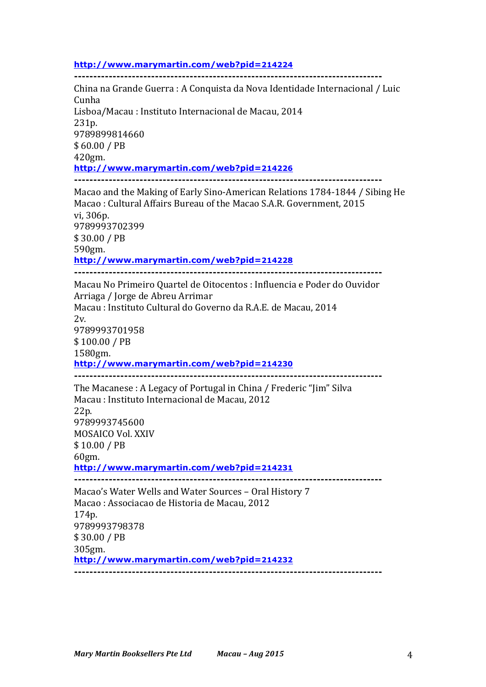#### **http://www.marymartin.com/web?pid=214224 --------------------------------------------------------------------------------**

China na Grande Guerra : A Conquista da Nova Identidade Internacional / Luic Cunha Lisboa/Macau : Instituto Internacional de Macau, 2014 231p. 9789899814660 \$ 60.00 / PB 420gm. **http://www.marymartin.com/web?pid=214226 --------------------------------------------------------------------------------**

Macao and the Making of Early Sino-American Relations 1784-1844 / Sibing He Macao : Cultural Affairs Bureau of the Macao S.A.R. Government, 2015 vi. 306<sub>p</sub>. 9789993702399 \$ 30.00 / PB 590gm. **http://www.marymartin.com/web?pid=214228**

**--------------------------------------------------------------------------------**

Macau No Primeiro Quartel de Oitocentos : Influencia e Poder do Ouvidor Arriaga / Jorge de Abreu Arrimar Macau : Instituto Cultural do Governo da R.A.E. de Macau, 2014  $2v$ 9789993701958 \$ 100.00 / PB 1580gm. **http://www.marymartin.com/web?pid=214230 --------------------------------------------------------------------------------**

The Macanese : A Legacy of Portugal in China / Frederic "Jim" Silva Macau : Instituto Internacional de Macau, 2012 22p. 9789993745600 MOSAICO Vol. XXIV \$ 10.00 / PB 60gm. **http://www.marymartin.com/web?pid=214231 --------------------------------------------------------------------------------**

Macao's Water Wells and Water Sources - Oral History 7 Macao: Associacao de Historia de Macau, 2012 174p. 9789993798378 \$ 30.00 / PB 305gm. **http://www.marymartin.com/web?pid=214232 --------------------------------------------------------------------------------**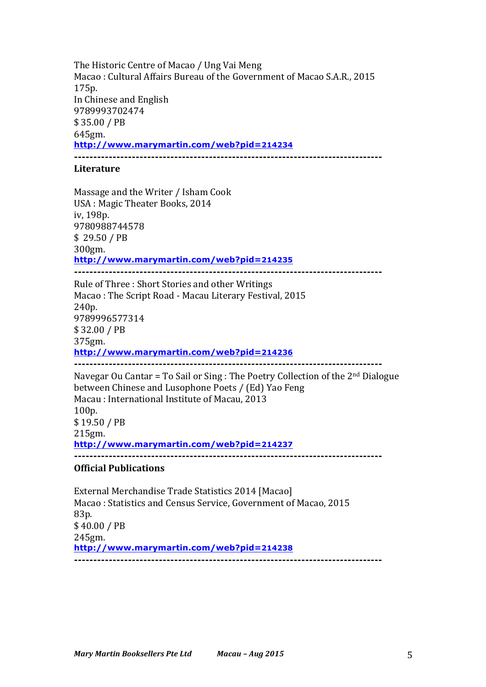The Historic Centre of Macao / Ung Vai Meng Macao : Cultural Affairs Bureau of the Government of Macao S.A.R., 2015 175p. In Chinese and English 9789993702474 \$ 35.00 / PB 645gm. **http://www.marymartin.com/web?pid=214234 --------------------------------------------------------------------------------**

**Literature**

Massage and the Writer / Isham Cook USA : Magic Theater Books, 2014 iv, 198p. 9780988744578 \$ 29.50 / PB 300gm. **http://www.marymartin.com/web?pid=214235**

**--------------------------------------------------------------------------------**

Rule of Three : Short Stories and other Writings Macao: The Script Road - Macau Literary Festival, 2015 240p. 9789996577314 \$ 32.00 / PB 375gm. **http://www.marymartin.com/web?pid=214236 --------------------------------------------------------------------------------**

Navegar Ou Cantar = To Sail or Sing : The Poetry Collection of the  $2<sup>nd</sup>$  Dialogue between Chinese and Lusophone Poets / (Ed) Yao Feng Macau : International Institute of Macau, 2013 100p. \$ 19.50 / PB 215gm. **http://www.marymartin.com/web?pid=214237 --------------------------------------------------------------------------------**

### **Official Publications**

External Merchandise Trade Statistics 2014 [Macao] Macao: Statistics and Census Service, Government of Macao, 2015 83p. \$ 40.00 / PB 245gm. **http://www.marymartin.com/web?pid=214238 --------------------------------------------------------------------------------**